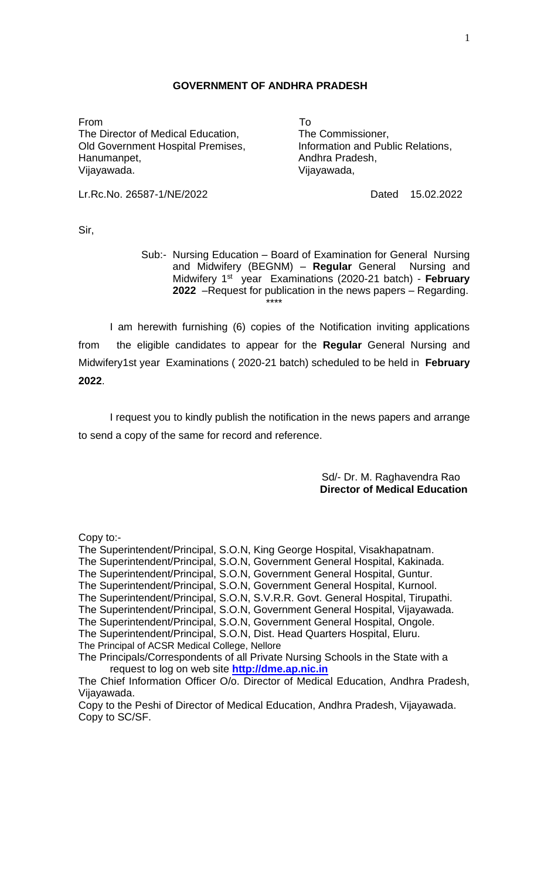### **GOVERNMENT OF ANDHRA PRADESH**

From To The Director of Medical Education, The Commissioner, Old Government Hospital Premises, **Information and Public Relations**, Hanumanpet, Andhra Pradesh, Vijayawada. Vijayawada,

Lr.Rc.No. 26587-1/NE/2022 Dated 15.02.2022

Sir,

Sub:- Nursing Education – Board of Examination for General Nursing and Midwifery (BEGNM) – **Regular** General Nursing and Midwifery 1<sup>st</sup> year Examinations (2020-21 batch) - February **2022** –Request for publication in the news papers – Regarding. \*\*\*\*

I am herewith furnishing (6) copies of the Notification inviting applications from the eligible candidates to appear for the **Regular** General Nursing and Midwifery1st year Examinations ( 2020-21 batch) scheduled to be held in **February 2022**.

I request you to kindly publish the notification in the news papers and arrange to send a copy of the same for record and reference.

> Sd/- Dr. M. Raghavendra Rao  **Director of Medical Education**

Copy to:-

The Superintendent/Principal, S.O.N, King George Hospital, Visakhapatnam. The Superintendent/Principal, S.O.N, Government General Hospital, Kakinada. The Superintendent/Principal, S.O.N, Government General Hospital, Guntur. The Superintendent/Principal, S.O.N, Government General Hospital, Kurnool. The Superintendent/Principal, S.O.N, S.V.R.R. Govt. General Hospital, Tirupathi. The Superintendent/Principal, S.O.N, Government General Hospital, Vijayawada. The Superintendent/Principal, S.O.N, Government General Hospital, Ongole. The Superintendent/Principal, S.O.N, Dist. Head Quarters Hospital, Eluru. The Principal of ACSR Medical College, Nellore The Principals/Correspondents of all Private Nursing Schools in the State with a request to log on web site **[http://dme.ap.nic.in](http://dme.ap.nic.in/)**

The Chief Information Officer O/o. Director of Medical Education, Andhra Pradesh, Vijayawada.

Copy to the Peshi of Director of Medical Education, Andhra Pradesh, Vijayawada. Copy to SC/SF.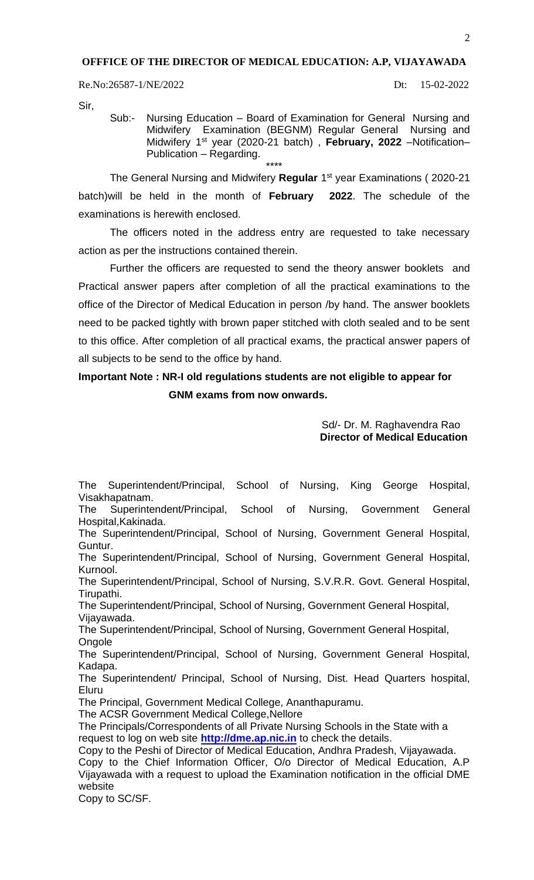### **OFFFICE OF THE DIRECTOR OF MEDICAL EDUCATION: A.P, VIJAYAWADA**

Re.No:26587-1/NE/2022 Dt: 15-02-2022

Sir,

Sub:- Nursing Education – Board of Examination for General Nursing and Midwifery Examination (BEGNM) Regular General Nursing and Midwifery 1<sup>st</sup> year (2020-21 batch), February, 2022 -Notification-Publication – Regarding.

The General Nursing and Midwifery Regular 1<sup>st</sup> year Examinations (2020-21 batch)will be held in the month of **February 2022**. The schedule of the examinations is herewith enclosed.

\*\*\*\*

The officers noted in the address entry are requested to take necessary action as per the instructions contained therein.

Further the officers are requested to send the theory answer booklets and Practical answer papers after completion of all the practical examinations to the office of the Director of Medical Education in person /by hand. The answer booklets need to be packed tightly with brown paper stitched with cloth sealed and to be sent to this office. After completion of all practical exams, the practical answer papers of all subjects to be send to the office by hand.

# **Important Note : NR-I old regulations students are not eligible to appear for GNM exams from now onwards.**

 Sd/- Dr. M. Raghavendra Rao  **Director of Medical Education**

The Superintendent/Principal, School of Nursing, King George Hospital, Visakhapatnam.

The Superintendent/Principal, School of Nursing, Government General Hospital,Kakinada.

The Superintendent/Principal, School of Nursing, Government General Hospital, Guntur.

The Superintendent/Principal, School of Nursing, Government General Hospital, Kurnool.

The Superintendent/Principal, School of Nursing, S.V.R.R. Govt. General Hospital, Tirupathi.

The Superintendent/Principal, School of Nursing, Government General Hospital, Vijayawada.

The Superintendent/Principal, School of Nursing, Government General Hospital, **Ongole** 

The Superintendent/Principal, School of Nursing, Government General Hospital, Kadapa.

The Superintendent/ Principal, School of Nursing, Dist. Head Quarters hospital, Eluru

The Principal, Government Medical College, Ananthapuramu.

The ACSR Government Medical College,Nellore

The Principals/Correspondents of all Private Nursing Schools in the State with a request to log on web site **[http://dme.ap.nic.in](http://dme.ap.nic.in/)** to check the details.

Copy to the Peshi of Director of Medical Education, Andhra Pradesh, Vijayawada. Copy to the Chief Information Officer, O/o Director of Medical Education, A.P Vijayawada with a request to upload the Examination notification in the official DME website

Copy to SC/SF.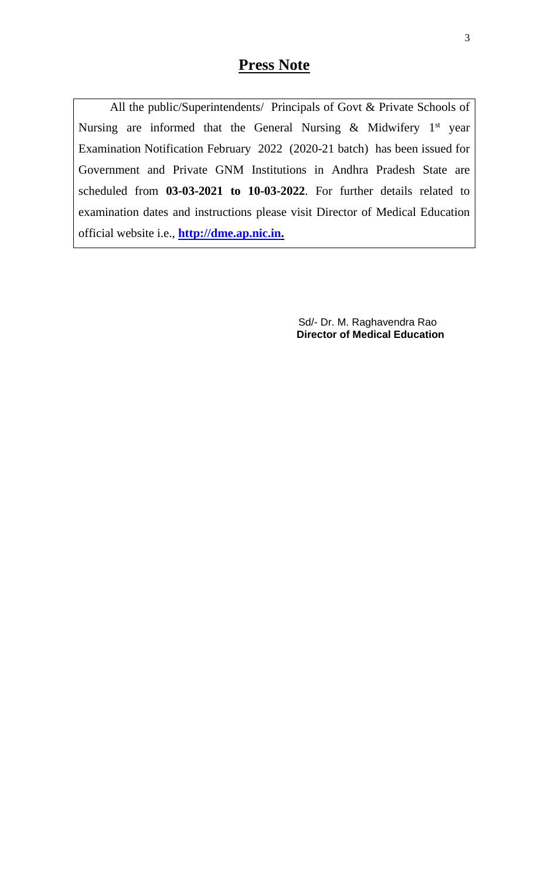# **Press Note**

All the public/Superintendents/ Principals of Govt & Private Schools of Nursing are informed that the General Nursing  $\&$  Midwifery 1<sup>st</sup> year Examination Notification February 2022 (2020-21 batch) has been issued for Government and Private GNM Institutions in Andhra Pradesh State are scheduled from **03-03-2021 to 10-03-2022**. For further details related to examination dates and instructions please visit Director of Medical Education official website i.e., **[http://dme.ap.nic.in.](http://dme.ap.nic.in/)**

> Sd/- Dr. M. Raghavendra Rao  **Director of Medical Education**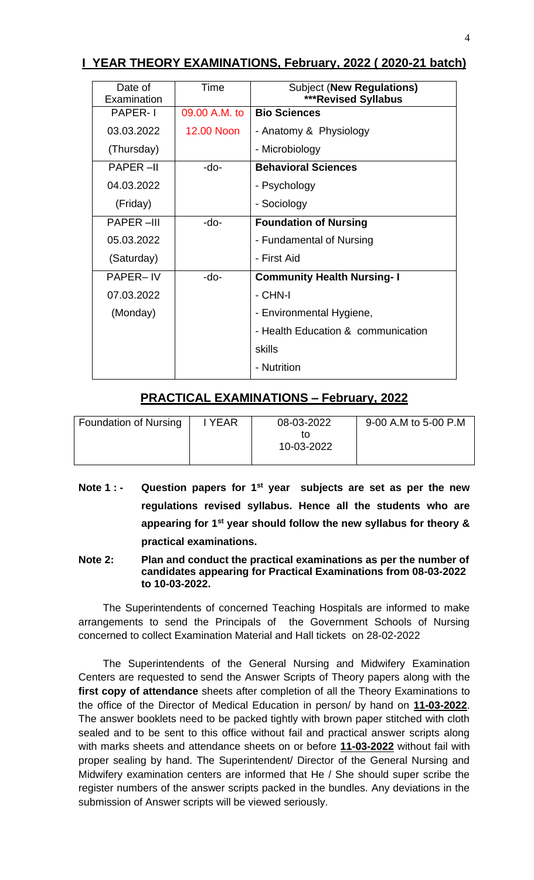## **I YEAR THEORY EXAMINATIONS, February, 2022 ( 2020-21 batch)**

| Date of<br>Examination | Time          | <b>Subject (New Regulations)</b><br><b>***Revised Syllabus</b> |
|------------------------|---------------|----------------------------------------------------------------|
| <b>PAPER-1</b>         | 09.00 A.M. to | <b>Bio Sciences</b>                                            |
| 03.03.2022             | 12.00 Noon    | - Anatomy & Physiology                                         |
| (Thursday)             |               | - Microbiology                                                 |
| <b>PAPER-II</b>        | $-do-$        | <b>Behavioral Sciences</b>                                     |
| 04.03.2022             |               | - Psychology                                                   |
| (Friday)               |               | - Sociology                                                    |
| <b>PAPER-III</b>       | -do-          | <b>Foundation of Nursing</b>                                   |
| 05.03.2022             |               | - Fundamental of Nursing                                       |
| (Saturday)             |               | - First Aid                                                    |
| <b>PAPER–IV</b>        | -do-          | <b>Community Health Nursing-I</b>                              |
| 07.03.2022             |               | - CHN-I                                                        |
| (Monday)               |               | - Environmental Hygiene,                                       |
|                        |               | - Health Education & communication                             |
|                        |               | skills                                                         |
|                        |               | - Nutrition                                                    |

## **PRACTICAL EXAMINATIONS – February, 2022**

| <b>Foundation of Nursing</b> | <b>YEAR</b> | 08-03-2022<br>īΟ<br>10-03-2022 | 9-00 A.M to 5-00 P.M |
|------------------------------|-------------|--------------------------------|----------------------|
|------------------------------|-------------|--------------------------------|----------------------|

- **Note 1 : - Question papers for 1st year subjects are set as per the new regulations revised syllabus. Hence all the students who are appearing for 1st year should follow the new syllabus for theory & practical examinations.**
- **Note 2: Plan and conduct the practical examinations as per the number of candidates appearing for Practical Examinations from 08-03-2022 to 10-03-2022.**

The Superintendents of concerned Teaching Hospitals are informed to make arrangements to send the Principals of the Government Schools of Nursing concerned to collect Examination Material and Hall tickets on 28-02-2022

The Superintendents of the General Nursing and Midwifery Examination Centers are requested to send the Answer Scripts of Theory papers along with the **first copy of attendance** sheets after completion of all the Theory Examinations to the office of the Director of Medical Education in person/ by hand on **11-03-2022**. The answer booklets need to be packed tightly with brown paper stitched with cloth sealed and to be sent to this office without fail and practical answer scripts along with marks sheets and attendance sheets on or before **11-03-2022** without fail with proper sealing by hand. The Superintendent/ Director of the General Nursing and Midwifery examination centers are informed that He / She should super scribe the register numbers of the answer scripts packed in the bundles. Any deviations in the submission of Answer scripts will be viewed seriously.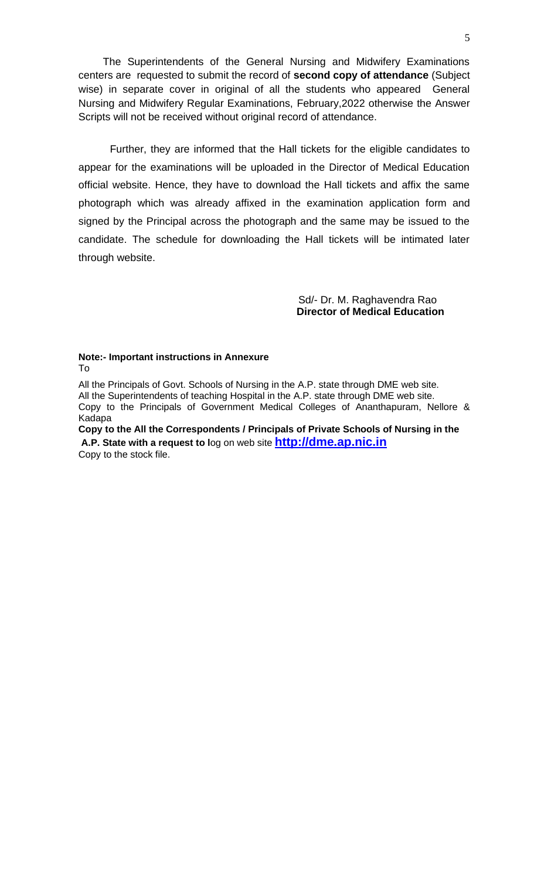The Superintendents of the General Nursing and Midwifery Examinations centers are requested to submit the record of **second copy of attendance** (Subject wise) in separate cover in original of all the students who appeared General Nursing and Midwifery Regular Examinations, February,2022 otherwise the Answer Scripts will not be received without original record of attendance.

Further, they are informed that the Hall tickets for the eligible candidates to appear for the examinations will be uploaded in the Director of Medical Education official website. Hence, they have to download the Hall tickets and affix the same photograph which was already affixed in the examination application form and signed by the Principal across the photograph and the same may be issued to the candidate. The schedule for downloading the Hall tickets will be intimated later through website.

> Sd/- Dr. M. Raghavendra Rao  **Director of Medical Education**

### **Note:- Important instructions in Annexure**  To

All the Principals of Govt. Schools of Nursing in the A.P. state through DME web site. All the Superintendents of teaching Hospital in the A.P. state through DME web site. Copy to the Principals of Government Medical Colleges of Ananthapuram, Nellore & Kadapa

**Copy to the All the Correspondents / Principals of Private Schools of Nursing in the A.P. State with a request to l**og on web site **[http://dme.ap.nic.in](http://dme.ap.nic.in/)** Copy to the stock file.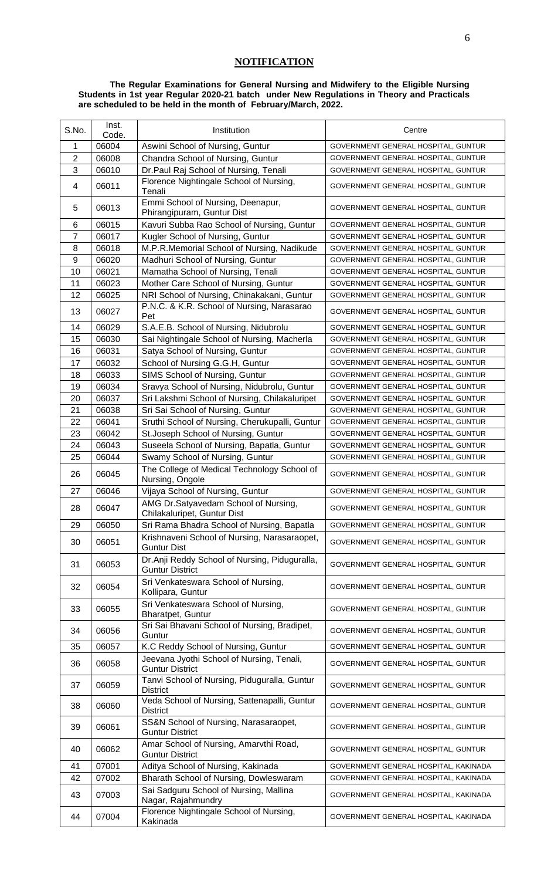### **NOTIFICATION**

#### **The Regular Examinations for General Nursing and Midwifery to the Eligible Nursing Students in 1st year Regular 2020-21 batch under New Regulations in Theory and Practicals are scheduled to be held in the month of February/March, 2022.**

| S.No.          | Inst.<br>Code. | Institution                                                             | Centre                                |
|----------------|----------------|-------------------------------------------------------------------------|---------------------------------------|
| 1              | 06004          | Aswini School of Nursing, Guntur                                        | GOVERNMENT GENERAL HOSPITAL, GUNTUR   |
| $\overline{2}$ | 06008          | Chandra School of Nursing, Guntur                                       | GOVERNMENT GENERAL HOSPITAL, GUNTUR   |
| 3              | 06010          | Dr.Paul Raj School of Nursing, Tenali                                   | GOVERNMENT GENERAL HOSPITAL, GUNTUR   |
| $\overline{4}$ | 06011          | Florence Nightingale School of Nursing,<br>Tenali                       | GOVERNMENT GENERAL HOSPITAL, GUNTUR   |
| 5              | 06013          | Emmi School of Nursing, Deenapur,<br>Phirangipuram, Guntur Dist         | GOVERNMENT GENERAL HOSPITAL, GUNTUR   |
| 6              | 06015          | Kavuri Subba Rao School of Nursing, Guntur                              | GOVERNMENT GENERAL HOSPITAL, GUNTUR   |
| $\overline{7}$ | 06017          | Kugler School of Nursing, Guntur                                        | GOVERNMENT GENERAL HOSPITAL, GUNTUR   |
| 8              | 06018          | M.P.R.Memorial School of Nursing, Nadikude                              | GOVERNMENT GENERAL HOSPITAL, GUNTUR   |
| 9              | 06020          | Madhuri School of Nursing, Guntur                                       | GOVERNMENT GENERAL HOSPITAL, GUNTUR   |
| 10             | 06021          | Mamatha School of Nursing, Tenali                                       | GOVERNMENT GENERAL HOSPITAL, GUNTUR   |
| 11             | 06023          | Mother Care School of Nursing, Guntur                                   | GOVERNMENT GENERAL HOSPITAL, GUNTUR   |
| 12             | 06025          | NRI School of Nursing, Chinakakani, Guntur                              | GOVERNMENT GENERAL HOSPITAL, GUNTUR   |
| 13             | 06027          | P.N.C. & K.R. School of Nursing, Narasarao<br>Pet                       | GOVERNMENT GENERAL HOSPITAL, GUNTUR   |
| 14             | 06029          | S.A.E.B. School of Nursing, Nidubrolu                                   | GOVERNMENT GENERAL HOSPITAL, GUNTUR   |
| 15             | 06030          | Sai Nightingale School of Nursing, Macherla                             | GOVERNMENT GENERAL HOSPITAL, GUNTUR   |
| 16             | 06031          | Satya School of Nursing, Guntur                                         | GOVERNMENT GENERAL HOSPITAL, GUNTUR   |
| 17             | 06032          | School of Nursing G.G.H, Guntur                                         | GOVERNMENT GENERAL HOSPITAL, GUNTUR   |
| 18             | 06033          | SIMS School of Nursing, Guntur                                          | GOVERNMENT GENERAL HOSPITAL, GUNTUR   |
| 19             | 06034          | Sravya School of Nursing, Nidubrolu, Guntur                             | GOVERNMENT GENERAL HOSPITAL, GUNTUR   |
| 20             | 06037          | Sri Lakshmi School of Nursing, Chilakaluripet                           | GOVERNMENT GENERAL HOSPITAL, GUNTUR   |
| 21             | 06038          | Sri Sai School of Nursing, Guntur                                       | GOVERNMENT GENERAL HOSPITAL, GUNTUR   |
| 22             | 06041          | Sruthi School of Nursing, Cherukupalli, Guntur                          | GOVERNMENT GENERAL HOSPITAL, GUNTUR   |
| 23             | 06042          | St. Joseph School of Nursing, Guntur                                    | GOVERNMENT GENERAL HOSPITAL, GUNTUR   |
| 24             | 06043          | Suseela School of Nursing, Bapatla, Guntur                              | GOVERNMENT GENERAL HOSPITAL, GUNTUR   |
| 25             | 06044          | Swamy School of Nursing, Guntur                                         | GOVERNMENT GENERAL HOSPITAL, GUNTUR   |
| 26             | 06045          | The College of Medical Technology School of<br>Nursing, Ongole          | GOVERNMENT GENERAL HOSPITAL, GUNTUR   |
| 27             | 06046          | Vijaya School of Nursing, Guntur                                        | GOVERNMENT GENERAL HOSPITAL, GUNTUR   |
| 28             | 06047          | AMG Dr.Satyavedam School of Nursing,<br>Chilakaluripet, Guntur Dist     | GOVERNMENT GENERAL HOSPITAL, GUNTUR   |
| 29             | 06050          | Sri Rama Bhadra School of Nursing, Bapatla                              | GOVERNMENT GENERAL HOSPITAL, GUNTUR   |
| 30             | 06051          | Krishnaveni School of Nursing, Narasaraopet,<br><b>Guntur Dist</b>      | GOVERNMENT GENERAL HOSPITAL, GUNTUR   |
| 31             | 06053          | Dr.Anji Reddy School of Nursing, Piduguralla,<br><b>Guntur District</b> | GOVERNMENT GENERAL HOSPITAL, GUNTUR   |
| 32             | 06054          | Sri Venkateswara School of Nursing,<br>Kollipara, Guntur                | GOVERNMENT GENERAL HOSPITAL, GUNTUR   |
| 33             | 06055          | Sri Venkateswara School of Nursing,<br>Bharatpet, Guntur                | GOVERNMENT GENERAL HOSPITAL, GUNTUR   |
| 34             | 06056          | Sri Sai Bhavani School of Nursing, Bradipet,<br>Guntur                  | GOVERNMENT GENERAL HOSPITAL, GUNTUR   |
| 35             | 06057          | K.C Reddy School of Nursing, Guntur                                     | GOVERNMENT GENERAL HOSPITAL, GUNTUR   |
| 36             | 06058          | Jeevana Jyothi School of Nursing, Tenali,<br><b>Guntur District</b>     | GOVERNMENT GENERAL HOSPITAL, GUNTUR   |
| 37             | 06059          | Tanvi School of Nursing, Piduguralla, Guntur<br><b>District</b>         | GOVERNMENT GENERAL HOSPITAL, GUNTUR   |
| 38             | 06060          | Veda School of Nursing, Sattenapalli, Guntur<br><b>District</b>         | GOVERNMENT GENERAL HOSPITAL, GUNTUR   |
| 39             | 06061          | SS&N School of Nursing, Narasaraopet,<br><b>Guntur District</b>         | GOVERNMENT GENERAL HOSPITAL, GUNTUR   |
| 40             | 06062          | Amar School of Nursing, Amarvthi Road,<br><b>Guntur District</b>        | GOVERNMENT GENERAL HOSPITAL, GUNTUR   |
| 41             | 07001          | Aditya School of Nursing, Kakinada                                      | GOVERNMENT GENERAL HOSPITAL, KAKINADA |
| 42             | 07002          | Bharath School of Nursing, Dowleswaram                                  | GOVERNMENT GENERAL HOSPITAL, KAKINADA |
| 43             | 07003          | Sai Sadguru School of Nursing, Mallina<br>Nagar, Rajahmundry            | GOVERNMENT GENERAL HOSPITAL, KAKINADA |
| 44             | 07004          | Florence Nightingale School of Nursing,<br>Kakinada                     | GOVERNMENT GENERAL HOSPITAL, KAKINADA |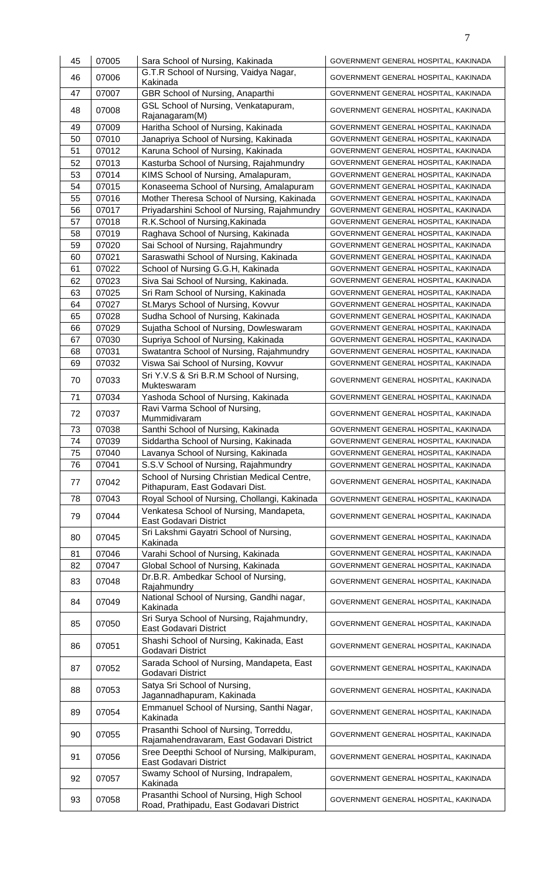| 45       | 07005          | Sara School of Nursing, Kakinada                                                     | GOVERNMENT GENERAL HOSPITAL, KAKINADA                                          |
|----------|----------------|--------------------------------------------------------------------------------------|--------------------------------------------------------------------------------|
| 46       | 07006          | G.T.R School of Nursing, Vaidya Nagar,<br>Kakinada                                   | GOVERNMENT GENERAL HOSPITAL, KAKINADA                                          |
| 47       | 07007          | GBR School of Nursing, Anaparthi                                                     | GOVERNMENT GENERAL HOSPITAL, KAKINADA                                          |
| 48       | 07008          | GSL School of Nursing, Venkatapuram,<br>Rajanagaram(M)                               | GOVERNMENT GENERAL HOSPITAL, KAKINADA                                          |
| 49       | 07009          | Haritha School of Nursing, Kakinada                                                  | GOVERNMENT GENERAL HOSPITAL, KAKINADA                                          |
| 50       | 07010          | Janapriya School of Nursing, Kakinada                                                | GOVERNMENT GENERAL HOSPITAL, KAKINADA                                          |
| 51       | 07012          | Karuna School of Nursing, Kakinada                                                   | GOVERNMENT GENERAL HOSPITAL, KAKINADA                                          |
| 52       | 07013          | Kasturba School of Nursing, Rajahmundry                                              | GOVERNMENT GENERAL HOSPITAL, KAKINADA                                          |
| 53       | 07014          | KIMS School of Nursing, Amalapuram,                                                  | GOVERNMENT GENERAL HOSPITAL, KAKINADA                                          |
| 54       | 07015          | Konaseema School of Nursing, Amalapuram                                              | GOVERNMENT GENERAL HOSPITAL, KAKINADA                                          |
| 55       | 07016          | Mother Theresa School of Nursing, Kakinada                                           | GOVERNMENT GENERAL HOSPITAL, KAKINADA                                          |
| 56       | 07017          | Priyadarshini School of Nursing, Rajahmundry                                         | GOVERNMENT GENERAL HOSPITAL, KAKINADA                                          |
| 57       | 07018          | R.K.School of Nursing, Kakinada                                                      | GOVERNMENT GENERAL HOSPITAL, KAKINADA                                          |
| 58       | 07019          | Raghava School of Nursing, Kakinada                                                  | GOVERNMENT GENERAL HOSPITAL, KAKINADA                                          |
| 59       | 07020          | Sai School of Nursing, Rajahmundry                                                   | GOVERNMENT GENERAL HOSPITAL, KAKINADA                                          |
| 60       | 07021          | Saraswathi School of Nursing, Kakinada                                               | GOVERNMENT GENERAL HOSPITAL, KAKINADA                                          |
| 61       | 07022          | School of Nursing G.G.H, Kakinada                                                    | GOVERNMENT GENERAL HOSPITAL, KAKINADA                                          |
| 62       | 07023<br>07025 | Siva Sai School of Nursing, Kakinada.<br>Sri Ram School of Nursing, Kakinada         | GOVERNMENT GENERAL HOSPITAL, KAKINADA                                          |
| 63<br>64 | 07027          | St. Marys School of Nursing, Kovvur                                                  | GOVERNMENT GENERAL HOSPITAL, KAKINADA                                          |
| 65       | 07028          |                                                                                      | GOVERNMENT GENERAL HOSPITAL, KAKINADA                                          |
| 66       | 07029          | Sudha School of Nursing, Kakinada                                                    | GOVERNMENT GENERAL HOSPITAL, KAKINADA<br>GOVERNMENT GENERAL HOSPITAL, KAKINADA |
| 67       | 07030          | Sujatha School of Nursing, Dowleswaram<br>Supriya School of Nursing, Kakinada        | GOVERNMENT GENERAL HOSPITAL, KAKINADA                                          |
| 68       | 07031          | Swatantra School of Nursing, Rajahmundry                                             | GOVERNMENT GENERAL HOSPITAL, KAKINADA                                          |
| 69       | 07032          | Viswa Sai School of Nursing, Kovvur                                                  | GOVERNMENT GENERAL HOSPITAL, KAKINADA                                          |
| 70       | 07033          | Sri Y.V.S & Sri B.R.M School of Nursing,<br>Mukteswaram                              | GOVERNMENT GENERAL HOSPITAL, KAKINADA                                          |
| 71       | 07034          | Yashoda School of Nursing, Kakinada                                                  | GOVERNMENT GENERAL HOSPITAL, KAKINADA                                          |
|          |                | Ravi Varma School of Nursing,                                                        |                                                                                |
| 72<br>73 | 07037<br>07038 | Mummidivaram<br>Santhi School of Nursing, Kakinada                                   | GOVERNMENT GENERAL HOSPITAL, KAKINADA<br>GOVERNMENT GENERAL HOSPITAL, KAKINADA |
| 74       | 07039          | Siddartha School of Nursing, Kakinada                                                | GOVERNMENT GENERAL HOSPITAL, KAKINADA                                          |
| 75       | 07040          | Lavanya School of Nursing, Kakinada                                                  | GOVERNMENT GENERAL HOSPITAL, KAKINADA                                          |
| 76       | 07041          | S.S.V School of Nursing, Rajahmundry                                                 | GOVERNMENT GENERAL HOSPITAL, KAKINADA                                          |
| 77       | 07042          | School of Nursing Christian Medical Centre,<br>Pithapuram, East Godavari Dist.       | GOVERNMENT GENERAL HOSPITAL, KAKINADA                                          |
| 78       | 07043          | Royal School of Nursing, Chollangi, Kakinada                                         | GOVERNMENT GENERAL HOSPITAL, KAKINADA                                          |
| 79       | 07044          | Venkatesa School of Nursing, Mandapeta,                                              | GOVERNMENT GENERAL HOSPITAL, KAKINADA                                          |
| 80       | 07045          | <b>East Godavari District</b><br>Sri Lakshmi Gayatri School of Nursing,              | GOVERNMENT GENERAL HOSPITAL, KAKINADA                                          |
| 81       | 07046          | Kakinada<br>Varahi School of Nursing, Kakinada                                       | GOVERNMENT GENERAL HOSPITAL, KAKINADA                                          |
| 82       | 07047          | Global School of Nursing, Kakinada                                                   | GOVERNMENT GENERAL HOSPITAL, KAKINADA                                          |
|          |                | Dr.B.R. Ambedkar School of Nursing,                                                  |                                                                                |
| 83       | 07048          | Rajahmundry                                                                          | GOVERNMENT GENERAL HOSPITAL, KAKINADA                                          |
| 84       | 07049          | National School of Nursing, Gandhi nagar,<br>Kakinada                                | GOVERNMENT GENERAL HOSPITAL, KAKINADA                                          |
| 85       | 07050          | Sri Surya School of Nursing, Rajahmundry,<br>East Godavari District                  | GOVERNMENT GENERAL HOSPITAL, KAKINADA                                          |
| 86       | 07051          | Shashi School of Nursing, Kakinada, East<br>Godavari District                        | GOVERNMENT GENERAL HOSPITAL, KAKINADA                                          |
| 87       | 07052          | Sarada School of Nursing, Mandapeta, East<br>Godavari District                       | GOVERNMENT GENERAL HOSPITAL, KAKINADA                                          |
| 88       | 07053          | Satya Sri School of Nursing,<br>Jagannadhapuram, Kakinada                            | GOVERNMENT GENERAL HOSPITAL, KAKINADA                                          |
| 89       | 07054          | Emmanuel School of Nursing, Santhi Nagar,<br>Kakinada                                | GOVERNMENT GENERAL HOSPITAL, KAKINADA                                          |
| 90       | 07055          | Prasanthi School of Nursing, Torreddu,<br>Rajamahendravaram, East Godavari District  | GOVERNMENT GENERAL HOSPITAL, KAKINADA                                          |
| 91       | 07056          | Sree Deepthi School of Nursing, Malkipuram,<br>East Godavari District                | GOVERNMENT GENERAL HOSPITAL, KAKINADA                                          |
| 92       | 07057          | Swamy School of Nursing, Indrapalem,<br>Kakinada                                     | GOVERNMENT GENERAL HOSPITAL, KAKINADA                                          |
| 93       | 07058          | Prasanthi School of Nursing, High School<br>Road, Prathipadu, East Godavari District | GOVERNMENT GENERAL HOSPITAL, KAKINADA                                          |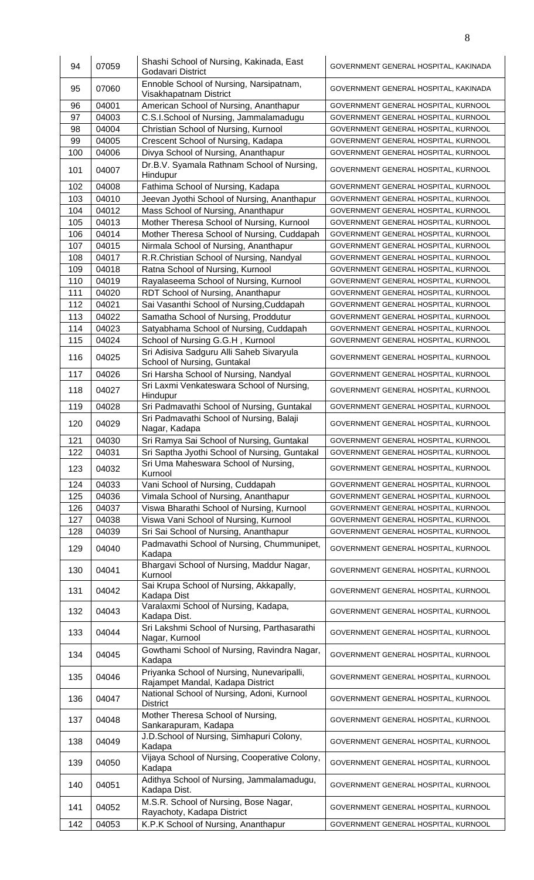| 94         | 07059          | Shashi School of Nursing, Kakinada, East<br>Godavari District                                              | GOVERNMENT GENERAL HOSPITAL, KAKINADA                                        |
|------------|----------------|------------------------------------------------------------------------------------------------------------|------------------------------------------------------------------------------|
| 95         | 07060          | Ennoble School of Nursing, Narsipatnam,<br>Visakhapatnam District                                          | GOVERNMENT GENERAL HOSPITAL, KAKINADA                                        |
| 96         | 04001          | American School of Nursing, Ananthapur                                                                     | GOVERNMENT GENERAL HOSPITAL, KURNOOL                                         |
| 97         | 04003          | C.S.I.School of Nursing, Jammalamadugu                                                                     | GOVERNMENT GENERAL HOSPITAL, KURNOOL                                         |
| 98         | 04004          | Christian School of Nursing, Kurnool                                                                       | GOVERNMENT GENERAL HOSPITAL, KURNOOL                                         |
| 99         | 04005          | Crescent School of Nursing, Kadapa                                                                         | GOVERNMENT GENERAL HOSPITAL, KURNOOL                                         |
| 100        | 04006          | Divya School of Nursing, Ananthapur                                                                        | GOVERNMENT GENERAL HOSPITAL, KURNOOL                                         |
| 101        | 04007          | Dr.B.V. Syamala Rathnam School of Nursing,<br>Hindupur                                                     | GOVERNMENT GENERAL HOSPITAL, KURNOOL                                         |
| 102        | 04008          | Fathima School of Nursing, Kadapa                                                                          | GOVERNMENT GENERAL HOSPITAL, KURNOOL                                         |
|            |                |                                                                                                            |                                                                              |
| 103        | 04010          | Jeevan Jyothi School of Nursing, Ananthapur                                                                | GOVERNMENT GENERAL HOSPITAL, KURNOOL                                         |
| 104        | 04012          | Mass School of Nursing, Ananthapur                                                                         | GOVERNMENT GENERAL HOSPITAL, KURNOOL                                         |
| 105        | 04013          | Mother Theresa School of Nursing, Kurnool                                                                  | GOVERNMENT GENERAL HOSPITAL, KURNOOL                                         |
| 106        | 04014          | Mother Theresa School of Nursing, Cuddapah                                                                 | GOVERNMENT GENERAL HOSPITAL, KURNOOL                                         |
| 107        | 04015          | Nirmala School of Nursing, Ananthapur                                                                      | GOVERNMENT GENERAL HOSPITAL, KURNOOL                                         |
| 108        | 04017          | R.R.Christian School of Nursing, Nandyal                                                                   | GOVERNMENT GENERAL HOSPITAL, KURNOOL                                         |
| 109        | 04018          | Ratna School of Nursing, Kurnool                                                                           | GOVERNMENT GENERAL HOSPITAL, KURNOOL                                         |
| 110        | 04019          | Rayalaseema School of Nursing, Kurnool                                                                     | GOVERNMENT GENERAL HOSPITAL, KURNOOL                                         |
| 111        | 04020          | RDT School of Nursing, Ananthapur                                                                          | GOVERNMENT GENERAL HOSPITAL, KURNOOL                                         |
| 112        | 04021          | Sai Vasanthi School of Nursing, Cuddapah                                                                   | GOVERNMENT GENERAL HOSPITAL, KURNOOL                                         |
|            |                |                                                                                                            |                                                                              |
| 113        | 04022          | Samatha School of Nursing, Proddutur                                                                       | GOVERNMENT GENERAL HOSPITAL, KURNOOL                                         |
| 114        | 04023          | Satyabhama School of Nursing, Cuddapah                                                                     | GOVERNMENT GENERAL HOSPITAL, KURNOOL                                         |
| 115        | 04024          | School of Nursing G.G.H, Kurnool                                                                           | GOVERNMENT GENERAL HOSPITAL, KURNOOL                                         |
| 116        | 04025          | Sri Adisiva Sadguru Alli Saheb Sivaryula<br>School of Nursing, Guntakal                                    | GOVERNMENT GENERAL HOSPITAL, KURNOOL                                         |
| 117        | 04026          | Sri Harsha School of Nursing, Nandyal                                                                      | GOVERNMENT GENERAL HOSPITAL, KURNOOL                                         |
| 118        | 04027          | Sri Laxmi Venkateswara School of Nursing,<br>Hindupur                                                      | GOVERNMENT GENERAL HOSPITAL, KURNOOL                                         |
| 119        | 04028          | Sri Padmavathi School of Nursing, Guntakal                                                                 | GOVERNMENT GENERAL HOSPITAL, KURNOOL                                         |
|            |                | Sri Padmavathi School of Nursing, Balaji                                                                   |                                                                              |
| 120<br>121 | 04029<br>04030 | Nagar, Kadapa<br>Sri Ramya Sai School of Nursing, Guntakal                                                 | GOVERNMENT GENERAL HOSPITAL, KURNOOL<br>GOVERNMENT GENERAL HOSPITAL, KURNOOL |
| 122        | 04031          | Sri Saptha Jyothi School of Nursing, Guntakal                                                              | GOVERNMENT GENERAL HOSPITAL, KURNOOL                                         |
| 123        | 04032          | Sri Uma Maheswara School of Nursing,<br>Kurnool                                                            | GOVERNMENT GENERAL HOSPITAL, KURNOOL                                         |
| 124        | 04033          | Vani School of Nursing, Cuddapah                                                                           | GOVERNMENT GENERAL HOSPITAL, KURNOOL                                         |
| 125        | 04036          | Vimala School of Nursing, Ananthapur                                                                       | GOVERNMENT GENERAL HOSPITAL, KURNOOL                                         |
| 126        | 04037          | Viswa Bharathi School of Nursing, Kurnool                                                                  | GOVERNMENT GENERAL HOSPITAL, KURNOOL                                         |
|            |                |                                                                                                            |                                                                              |
| 127        | 04038          | Viswa Vani School of Nursing, Kurnool                                                                      | GOVERNMENT GENERAL HOSPITAL, KURNOOL                                         |
| 128        | 04039          | Sri Sai School of Nursing, Ananthapur                                                                      | GOVERNMENT GENERAL HOSPITAL, KURNOOL                                         |
| 129        | 04040          | Padmavathi School of Nursing, Chummunipet,<br>Kadapa                                                       | GOVERNMENT GENERAL HOSPITAL, KURNOOL                                         |
| 130        | 04041          | Bhargavi School of Nursing, Maddur Nagar,<br>Kurnool                                                       | GOVERNMENT GENERAL HOSPITAL, KURNOOL                                         |
| 131        | 04042          | Sai Krupa School of Nursing, Akkapally,<br>Kadapa Dist                                                     | GOVERNMENT GENERAL HOSPITAL, KURNOOL                                         |
| 132        | 04043          | Varalaxmi School of Nursing, Kadapa,<br>Kadapa Dist.                                                       | GOVERNMENT GENERAL HOSPITAL, KURNOOL                                         |
| 133        | 04044          | Sri Lakshmi School of Nursing, Parthasarathi<br>Nagar, Kurnool                                             | GOVERNMENT GENERAL HOSPITAL, KURNOOL                                         |
| 134        | 04045          | Gowthami School of Nursing, Ravindra Nagar,<br>Kadapa                                                      | GOVERNMENT GENERAL HOSPITAL, KURNOOL                                         |
| 135        | 04046          | Priyanka School of Nursing, Nunevaripalli,<br>Rajampet Mandal, Kadapa District                             | GOVERNMENT GENERAL HOSPITAL, KURNOOL                                         |
| 136        | 04047          | National School of Nursing, Adoni, Kurnool<br><b>District</b>                                              | GOVERNMENT GENERAL HOSPITAL, KURNOOL                                         |
| 137        | 04048          | Mother Theresa School of Nursing,<br>Sankarapuram, Kadapa                                                  | GOVERNMENT GENERAL HOSPITAL, KURNOOL                                         |
| 138        | 04049          | J.D.School of Nursing, Simhapuri Colony,<br>Kadapa                                                         | GOVERNMENT GENERAL HOSPITAL, KURNOOL                                         |
| 139        | 04050          | Vijaya School of Nursing, Cooperative Colony,<br>Kadapa                                                    | GOVERNMENT GENERAL HOSPITAL, KURNOOL                                         |
|            |                |                                                                                                            |                                                                              |
| 140        | 04051          | Adithya School of Nursing, Jammalamadugu,<br>Kadapa Dist.                                                  | GOVERNMENT GENERAL HOSPITAL, KURNOOL                                         |
| 141<br>142 | 04052<br>04053 | M.S.R. School of Nursing, Bose Nagar,<br>Rayachoty, Kadapa District<br>K.P.K School of Nursing, Ananthapur | GOVERNMENT GENERAL HOSPITAL, KURNOOL<br>GOVERNMENT GENERAL HOSPITAL, KURNOOL |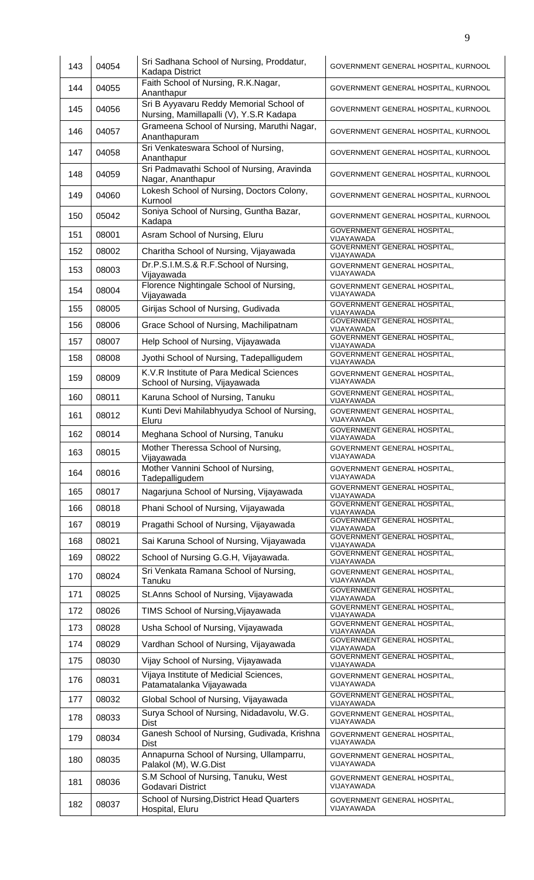| 143 | 04054 | Sri Sadhana School of Nursing, Proddatur,<br>Kadapa District                       | GOVERNMENT GENERAL HOSPITAL, KURNOOL              |
|-----|-------|------------------------------------------------------------------------------------|---------------------------------------------------|
| 144 | 04055 | Faith School of Nursing, R.K.Nagar,<br>Ananthapur                                  | GOVERNMENT GENERAL HOSPITAL, KURNOOL              |
| 145 | 04056 | Sri B Ayyavaru Reddy Memorial School of<br>Nursing, Mamillapalli (V), Y.S.R Kadapa | GOVERNMENT GENERAL HOSPITAL, KURNOOL              |
| 146 | 04057 | Grameena School of Nursing, Maruthi Nagar,<br>Ananthapuram                         | GOVERNMENT GENERAL HOSPITAL, KURNOOL              |
| 147 | 04058 | Sri Venkateswara School of Nursing,<br>Ananthapur                                  | GOVERNMENT GENERAL HOSPITAL, KURNOOL              |
| 148 | 04059 | Sri Padmavathi School of Nursing, Aravinda<br>Nagar, Ananthapur                    | GOVERNMENT GENERAL HOSPITAL, KURNOOL              |
| 149 | 04060 | Lokesh School of Nursing, Doctors Colony,<br>Kurnool                               | GOVERNMENT GENERAL HOSPITAL, KURNOOL              |
| 150 | 05042 | Soniya School of Nursing, Guntha Bazar,<br>Kadapa                                  | GOVERNMENT GENERAL HOSPITAL, KURNOOL              |
| 151 | 08001 | Asram School of Nursing, Eluru                                                     | <b>GOVERNMENT GENERAL HOSPITAL,</b><br>VIJAYAWADA |
| 152 | 08002 | Charitha School of Nursing, Vijayawada                                             | <b>GOVERNMENT GENERAL HOSPITAL,</b><br>VIJAYAWADA |
| 153 | 08003 | Dr.P.S.I.M.S.& R.F.School of Nursing,<br>Vijayawada                                | GOVERNMENT GENERAL HOSPITAL,<br>VIJAYAWADA        |
| 154 | 08004 | Florence Nightingale School of Nursing,<br>Vijayawada                              | GOVERNMENT GENERAL HOSPITAL,<br>VIJAYAWADA        |
| 155 | 08005 | Girijas School of Nursing, Gudivada                                                | GOVERNMENT GENERAL HOSPITAL,<br>VIJAYAWADA        |
| 156 | 08006 | Grace School of Nursing, Machilipatnam                                             | GOVERNMENT GENERAL HOSPITAL,<br>VIJAYAWADA        |
| 157 | 08007 | Help School of Nursing, Vijayawada                                                 | <b>GOVERNMENT GENERAL HOSPITAL,</b><br>VIJAYAWADA |
| 158 | 08008 | Jyothi School of Nursing, Tadepalligudem                                           | GOVERNMENT GENERAL HOSPITAL,<br>VIJAYAWADA        |
| 159 | 08009 | K.V.R Institute of Para Medical Sciences<br>School of Nursing, Vijayawada          | GOVERNMENT GENERAL HOSPITAL,<br>VIJAYAWADA        |
| 160 | 08011 | Karuna School of Nursing, Tanuku                                                   | GOVERNMENT GENERAL HOSPITAL,<br>VIJAYAWADA        |
| 161 | 08012 | Kunti Devi Mahilabhyudya School of Nursing,<br>Eluru                               | GOVERNMENT GENERAL HOSPITAL,<br>VIJAYAWADA        |
| 162 | 08014 | Meghana School of Nursing, Tanuku                                                  | GOVERNMENT GENERAL HOSPITAL,<br>VIJAYAWADA        |
| 163 | 08015 | Mother Theressa School of Nursing,<br>Vijayawada                                   | GOVERNMENT GENERAL HOSPITAL,<br>VIJAYAWADA        |
| 164 | 08016 | Mother Vannini School of Nursing,<br>Tadepalligudem                                | GOVERNMENT GENERAL HOSPITAL,<br>VIJAYAWADA        |
| 165 | 08017 | Nagarjuna School of Nursing, Vijayawada                                            | GOVERNMENT GENERAL HOSPITAL,<br>VIJAYAWADA        |
| 166 | 08018 | Phani School of Nursing, Vijayawada                                                | <b>GOVERNMENT GENERAL HOSPITAL,</b><br>VIJAYAWADA |
| 167 | 08019 | Pragathi School of Nursing, Vijayawada                                             | GOVERNMENT GENERAL HOSPITAL,<br>VIJAYAWADA        |
| 168 | 08021 | Sai Karuna School of Nursing, Vijayawada                                           | GOVERNMENT GENERAL HOSPITAL,<br>VIJAYAWADA        |
| 169 | 08022 | School of Nursing G.G.H, Vijayawada.                                               | <b>GOVERNMENT GENERAL HOSPITAL,</b><br>VIJAYAWADA |
| 170 | 08024 | Sri Venkata Ramana School of Nursing,<br>Tanuku                                    | GOVERNMENT GENERAL HOSPITAL,<br>VIJAYAWADA        |
| 171 | 08025 | St. Anns School of Nursing, Vijayawada                                             | <b>GOVERNMENT GENERAL HOSPITAL,</b><br>VIJAYAWADA |
| 172 | 08026 | TIMS School of Nursing, Vijayawada                                                 | GOVERNMENT GENERAL HOSPITAL,<br>VIJAYAWADA        |
| 173 | 08028 | Usha School of Nursing, Vijayawada                                                 | GOVERNMENT GENERAL HOSPITAL,<br>VIJAYAWADA        |
| 174 | 08029 | Vardhan School of Nursing, Vijayawada                                              | <b>GOVERNMENT GENERAL HOSPITAL,</b><br>VIJAYAWADA |
| 175 | 08030 | Vijay School of Nursing, Vijayawada                                                | GOVERNMENT GENERAL HOSPITAL,<br>VIJAYAWADA        |
| 176 | 08031 | Vijaya Institute of Medicial Sciences,<br>Patamatalanka Vijayawada                 | GOVERNMENT GENERAL HOSPITAL,<br>VIJAYAWADA        |
| 177 | 08032 | Global School of Nursing, Vijayawada                                               | GOVERNMENT GENERAL HOSPITAL,<br>VIJAYAWADA        |
| 178 | 08033 | Surya School of Nursing, Nidadavolu, W.G.<br><b>Dist</b>                           | GOVERNMENT GENERAL HOSPITAL,<br>VIJAYAWADA        |
| 179 | 08034 | Ganesh School of Nursing, Gudivada, Krishna<br><b>Dist</b>                         | GOVERNMENT GENERAL HOSPITAL,<br>VIJAYAWADA        |
| 180 | 08035 | Annapurna School of Nursing, Ullamparru,<br>Palakol (M), W.G.Dist                  | GOVERNMENT GENERAL HOSPITAL,<br>VIJAYAWADA        |
| 181 | 08036 | S.M School of Nursing, Tanuku, West<br>Godavari District                           | GOVERNMENT GENERAL HOSPITAL,<br>VIJAYAWADA        |
| 182 | 08037 | School of Nursing, District Head Quarters<br>Hospital, Eluru                       | GOVERNMENT GENERAL HOSPITAL,<br>VIJAYAWADA        |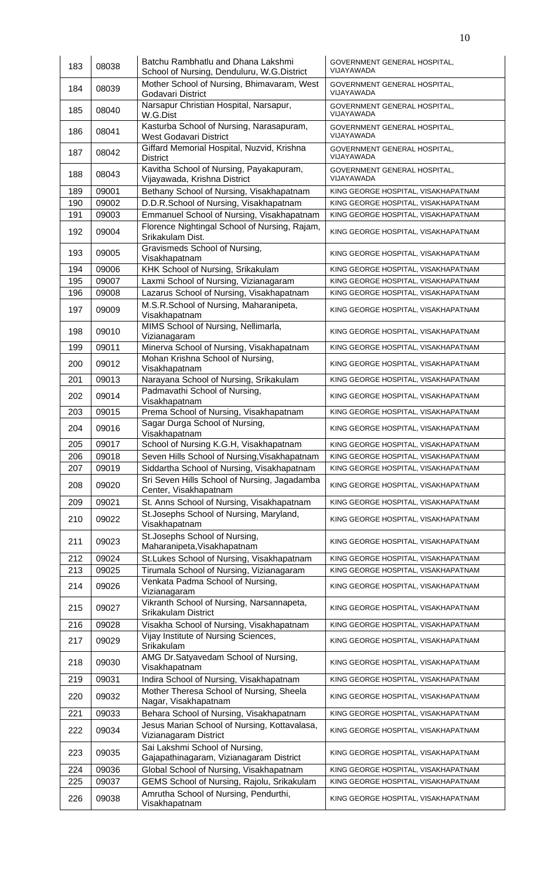| 183 | 08038 | Batchu Rambhatlu and Dhana Lakshmi<br>School of Nursing, Denduluru, W.G.District | GOVERNMENT GENERAL HOSPITAL,<br>VIJAYAWADA |
|-----|-------|----------------------------------------------------------------------------------|--------------------------------------------|
| 184 | 08039 | Mother School of Nursing, Bhimavaram, West<br>Godavari District                  | GOVERNMENT GENERAL HOSPITAL,<br>VIJAYAWADA |
| 185 | 08040 | Narsapur Christian Hospital, Narsapur,<br>W.G.Dist                               | GOVERNMENT GENERAL HOSPITAL,<br>VIJAYAWADA |
| 186 | 08041 | Kasturba School of Nursing, Narasapuram,<br>West Godavari District               | GOVERNMENT GENERAL HOSPITAL,<br>VIJAYAWADA |
| 187 | 08042 | Giffard Memorial Hospital, Nuzvid, Krishna<br><b>District</b>                    | GOVERNMENT GENERAL HOSPITAL,<br>VIJAYAWADA |
| 188 | 08043 | Kavitha School of Nursing, Payakapuram,<br>Vijayawada, Krishna District          | GOVERNMENT GENERAL HOSPITAL,<br>VIJAYAWADA |
| 189 | 09001 | Bethany School of Nursing, Visakhapatnam                                         | KING GEORGE HOSPITAL, VISAKHAPATNAM        |
| 190 | 09002 | D.D.R.School of Nursing, Visakhapatnam                                           | KING GEORGE HOSPITAL, VISAKHAPATNAM        |
| 191 | 09003 | Emmanuel School of Nursing, Visakhapatnam                                        | KING GEORGE HOSPITAL, VISAKHAPATNAM        |
| 192 | 09004 | Florence Nightingal School of Nursing, Rajam,<br>Srikakulam Dist.                | KING GEORGE HOSPITAL, VISAKHAPATNAM        |
| 193 | 09005 | Gravismeds School of Nursing,<br>Visakhapatnam                                   | KING GEORGE HOSPITAL, VISAKHAPATNAM        |
| 194 | 09006 | KHK School of Nursing, Srikakulam                                                | KING GEORGE HOSPITAL, VISAKHAPATNAM        |
| 195 | 09007 | Laxmi School of Nursing, Vizianagaram                                            | KING GEORGE HOSPITAL, VISAKHAPATNAM        |
| 196 | 09008 | Lazarus School of Nursing, Visakhapatnam                                         | KING GEORGE HOSPITAL, VISAKHAPATNAM        |
|     |       | M.S.R.School of Nursing, Maharanipeta,                                           |                                            |
| 197 | 09009 | Visakhapatnam                                                                    | KING GEORGE HOSPITAL, VISAKHAPATNAM        |
| 198 | 09010 | MIMS School of Nursing, Nellimarla,<br>Vizianagaram                              | KING GEORGE HOSPITAL, VISAKHAPATNAM        |
| 199 | 09011 | Minerva School of Nursing, Visakhapatnam                                         | KING GEORGE HOSPITAL, VISAKHAPATNAM        |
| 200 | 09012 | Mohan Krishna School of Nursing,<br>Visakhapatnam                                | KING GEORGE HOSPITAL, VISAKHAPATNAM        |
| 201 | 09013 | Narayana School of Nursing, Srikakulam                                           | KING GEORGE HOSPITAL, VISAKHAPATNAM        |
| 202 | 09014 | Padmavathi School of Nursing,<br>Visakhapatnam                                   | KING GEORGE HOSPITAL, VISAKHAPATNAM        |
| 203 | 09015 | Prema School of Nursing, Visakhapatnam                                           | KING GEORGE HOSPITAL, VISAKHAPATNAM        |
| 204 | 09016 | Sagar Durga School of Nursing,<br>Visakhapatnam                                  | KING GEORGE HOSPITAL, VISAKHAPATNAM        |
| 205 | 09017 | School of Nursing K.G.H, Visakhapatnam                                           | KING GEORGE HOSPITAL, VISAKHAPATNAM        |
| 206 | 09018 | Seven Hills School of Nursing, Visakhapatnam                                     | KING GEORGE HOSPITAL, VISAKHAPATNAM        |
| 207 | 09019 | Siddartha School of Nursing, Visakhapatnam                                       | KING GEORGE HOSPITAL, VISAKHAPATNAM        |
| 208 | 09020 | Sri Seven Hills School of Nursing, Jagadamba<br>Center, Visakhapatnam            | KING GEORGE HOSPITAL, VISAKHAPATNAM        |
| 209 | 09021 | St. Anns School of Nursing, Visakhapatnam                                        | KING GEORGE HOSPITAL, VISAKHAPATNAM        |
| 210 | 09022 | St. Josephs School of Nursing, Maryland,<br>Visakhapatnam                        | KING GEORGE HOSPITAL, VISAKHAPATNAM        |
| 211 | 09023 | St. Josephs School of Nursing,<br>Maharanipeta, Visakhapatnam                    | KING GEORGE HOSPITAL, VISAKHAPATNAM        |
| 212 | 09024 | St. Lukes School of Nursing, Visakhapatnam                                       | KING GEORGE HOSPITAL, VISAKHAPATNAM        |
| 213 | 09025 | Tirumala School of Nursing, Vizianagaram                                         | KING GEORGE HOSPITAL, VISAKHAPATNAM        |
| 214 | 09026 | Venkata Padma School of Nursing,<br>Vizianagaram                                 | KING GEORGE HOSPITAL, VISAKHAPATNAM        |
| 215 | 09027 | Vikranth School of Nursing, Narsannapeta,<br><b>Srikakulam District</b>          | KING GEORGE HOSPITAL, VISAKHAPATNAM        |
| 216 | 09028 | Visakha School of Nursing, Visakhapatnam                                         | KING GEORGE HOSPITAL, VISAKHAPATNAM        |
| 217 | 09029 | Vijay Institute of Nursing Sciences,<br>Srikakulam                               | KING GEORGE HOSPITAL, VISAKHAPATNAM        |
| 218 | 09030 | AMG Dr.Satyavedam School of Nursing,<br>Visakhapatnam                            | KING GEORGE HOSPITAL, VISAKHAPATNAM        |
| 219 | 09031 | Indira School of Nursing, Visakhapatnam                                          | KING GEORGE HOSPITAL, VISAKHAPATNAM        |
| 220 | 09032 | Mother Theresa School of Nursing, Sheela<br>Nagar, Visakhapatnam                 | KING GEORGE HOSPITAL, VISAKHAPATNAM        |
| 221 | 09033 | Behara School of Nursing, Visakhapatnam                                          | KING GEORGE HOSPITAL, VISAKHAPATNAM        |
| 222 | 09034 | Jesus Marian School of Nursing, Kottavalasa,<br>Vizianagaram District            | KING GEORGE HOSPITAL, VISAKHAPATNAM        |
| 223 | 09035 | Sai Lakshmi School of Nursing,<br>Gajapathinagaram, Vizianagaram District        | KING GEORGE HOSPITAL, VISAKHAPATNAM        |
| 224 | 09036 | Global School of Nursing, Visakhapatnam                                          | KING GEORGE HOSPITAL, VISAKHAPATNAM        |
| 225 | 09037 | GEMS School of Nursing, Rajolu, Srikakulam                                       | KING GEORGE HOSPITAL, VISAKHAPATNAM        |
| 226 | 09038 | Amrutha School of Nursing, Pendurthi,<br>Visakhapatnam                           | KING GEORGE HOSPITAL, VISAKHAPATNAM        |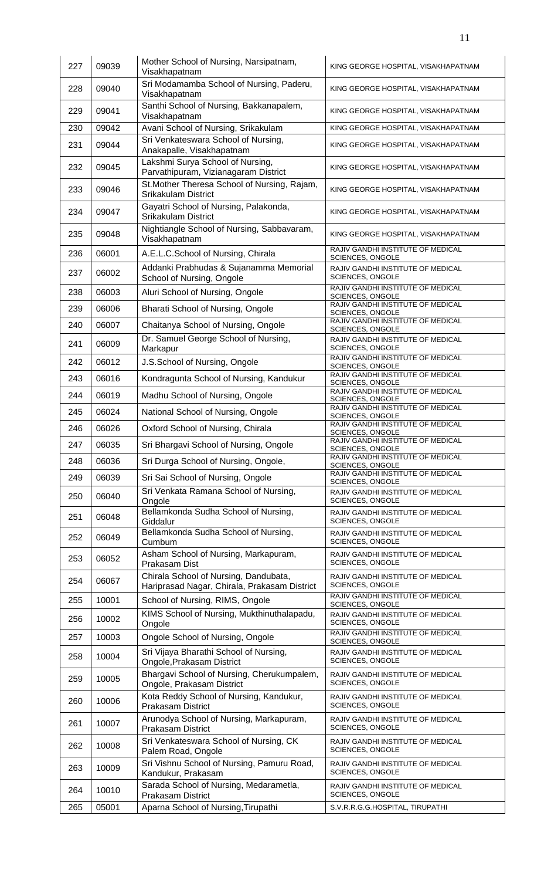| 227 | 09039 | Mother School of Nursing, Narsipatnam,<br>Visakhapatnam                               | KING GEORGE HOSPITAL, VISAKHAPATNAM                          |
|-----|-------|---------------------------------------------------------------------------------------|--------------------------------------------------------------|
| 228 | 09040 | Sri Modamamba School of Nursing, Paderu,<br>Visakhapatnam                             | KING GEORGE HOSPITAL, VISAKHAPATNAM                          |
| 229 | 09041 | Santhi School of Nursing, Bakkanapalem,<br>Visakhapatnam                              | KING GEORGE HOSPITAL, VISAKHAPATNAM                          |
| 230 | 09042 | Avani School of Nursing, Srikakulam                                                   | KING GEORGE HOSPITAL, VISAKHAPATNAM                          |
| 231 | 09044 | Sri Venkateswara School of Nursing,<br>Anakapalle, Visakhapatnam                      | KING GEORGE HOSPITAL, VISAKHAPATNAM                          |
| 232 | 09045 | Lakshmi Surya School of Nursing,<br>Parvathipuram, Vizianagaram District              | KING GEORGE HOSPITAL, VISAKHAPATNAM                          |
| 233 | 09046 | St. Mother Theresa School of Nursing, Rajam,<br><b>Srikakulam District</b>            | KING GEORGE HOSPITAL, VISAKHAPATNAM                          |
| 234 | 09047 | Gayatri School of Nursing, Palakonda,<br><b>Srikakulam District</b>                   | KING GEORGE HOSPITAL, VISAKHAPATNAM                          |
| 235 | 09048 | Nightiangle School of Nursing, Sabbavaram,<br>Visakhapatnam                           | KING GEORGE HOSPITAL, VISAKHAPATNAM                          |
| 236 | 06001 | A.E.L.C.School of Nursing, Chirala                                                    | RAJIV GANDHI INSTITUTE OF MEDICAL<br>SCIENCES, ONGOLE        |
| 237 | 06002 | Addanki Prabhudas & Sujanamma Memorial<br>School of Nursing, Ongole                   | RAJIV GANDHI INSTITUTE OF MEDICAL<br>SCIENCES, ONGOLE        |
| 238 | 06003 | Aluri School of Nursing, Ongole                                                       | RAJIV GANDHI INSTITUTE OF MEDICAL<br>SCIENCES, ONGOLE        |
| 239 | 06006 | Bharati School of Nursing, Ongole                                                     | RAJIV GANDHI INSTITUTE OF MEDICAL<br>SCIENCES, ONGOLE        |
| 240 | 06007 | Chaitanya School of Nursing, Ongole                                                   | RAJIV GANDHI INSTITUTE OF MEDICAL                            |
|     |       | Dr. Samuel George School of Nursing,                                                  | SCIENCES, ONGOLE<br>RAJIV GANDHI INSTITUTE OF MEDICAL        |
| 241 | 06009 | Markapur                                                                              | SCIENCES, ONGOLE<br>RAJIV GANDHI INSTITUTE OF MEDICAL        |
| 242 | 06012 | J.S.School of Nursing, Ongole                                                         | SCIENCES, ONGOLE                                             |
| 243 | 06016 | Kondragunta School of Nursing, Kandukur                                               | RAJIV GANDHI INSTITUTE OF MEDICAL<br>SCIENCES, ONGOLE        |
| 244 | 06019 | Madhu School of Nursing, Ongole                                                       | RAJIV GANDHI INSTITUTE OF MEDICAL<br>SCIENCES, ONGOLE        |
| 245 | 06024 | National School of Nursing, Ongole                                                    | RAJIV GANDHI INSTITUTE OF MEDICAL<br>SCIENCES, ONGOLE        |
| 246 | 06026 | Oxford School of Nursing, Chirala                                                     | RAJIV GANDHI INSTITUTE OF MEDICAL<br><b>SCIENCES, ONGOLE</b> |
| 247 | 06035 | Sri Bhargavi School of Nursing, Ongole                                                | RAJIV GANDHI INSTITUTE OF MEDICAL<br>SCIENCES, ONGOLE        |
| 248 | 06036 | Sri Durga School of Nursing, Ongole,                                                  | RAJIV GANDHI INSTITUTE OF MEDICAL<br>SCIENCES, ONGOLE        |
| 249 | 06039 | Sri Sai School of Nursing, Ongole                                                     | RAJIV GANDHI INSTITUTE OF MEDICAL<br>SCIENCES, ONGOLE        |
| 250 | 06040 | Sri Venkata Ramana School of Nursing,                                                 | RAJIV GANDHI INSTITUTE OF MEDICAL                            |
|     |       | Ongole<br>Bellamkonda Sudha School of Nursing,                                        | <b>SCIENCES, ONGOLE</b><br>RAJIV GANDHI INSTITUTE OF MEDICAL |
| 251 | 06048 | Giddalur<br>Bellamkonda Sudha School of Nursing,                                      | SCIENCES, ONGOLE<br>RAJIV GANDHI INSTITUTE OF MEDICAL        |
| 252 | 06049 | Cumbum                                                                                | SCIENCES, ONGOLE                                             |
| 253 | 06052 | Asham School of Nursing, Markapuram,<br>Prakasam Dist                                 | RAJIV GANDHI INSTITUTE OF MEDICAL<br>SCIENCES, ONGOLE        |
| 254 | 06067 | Chirala School of Nursing, Dandubata,<br>Hariprasad Nagar, Chirala, Prakasam District | RAJIV GANDHI INSTITUTE OF MEDICAL<br>SCIENCES, ONGOLE        |
| 255 | 10001 | School of Nursing, RIMS, Ongole                                                       | RAJIV GANDHI INSTITUTE OF MEDICAL<br>SCIENCES, ONGOLE        |
| 256 | 10002 | KIMS School of Nursing, Mukthinuthalapadu,<br>Ongole                                  | RAJIV GANDHI INSTITUTE OF MEDICAL<br>SCIENCES, ONGOLE        |
| 257 | 10003 | Ongole School of Nursing, Ongole                                                      | RAJIV GANDHI INSTITUTE OF MEDICAL<br>SCIENCES, ONGOLE        |
| 258 | 10004 | Sri Vijaya Bharathi School of Nursing,<br>Ongole, Prakasam District                   | RAJIV GANDHI INSTITUTE OF MEDICAL<br><b>SCIENCES, ONGOLE</b> |
| 259 | 10005 | Bhargavi School of Nursing, Cherukumpalem,<br>Ongole, Prakasam District               | RAJIV GANDHI INSTITUTE OF MEDICAL<br><b>SCIENCES, ONGOLE</b> |
| 260 | 10006 | Kota Reddy School of Nursing, Kandukur,<br><b>Prakasam District</b>                   | RAJIV GANDHI INSTITUTE OF MEDICAL<br>SCIENCES, ONGOLE        |
| 261 | 10007 | Arunodya School of Nursing, Markapuram,<br><b>Prakasam District</b>                   | RAJIV GANDHI INSTITUTE OF MEDICAL<br>SCIENCES, ONGOLE        |
| 262 | 10008 | Sri Venkateswara School of Nursing, CK<br>Palem Road, Ongole                          | RAJIV GANDHI INSTITUTE OF MEDICAL<br>SCIENCES, ONGOLE        |
| 263 | 10009 | Sri Vishnu School of Nursing, Pamuru Road,<br>Kandukur, Prakasam                      | RAJIV GANDHI INSTITUTE OF MEDICAL<br>SCIENCES, ONGOLE        |
| 264 | 10010 | Sarada School of Nursing, Medarametla,<br><b>Prakasam District</b>                    | RAJIV GANDHI INSTITUTE OF MEDICAL<br>SCIENCES, ONGOLE        |
| 265 | 05001 | Aparna School of Nursing, Tirupathi                                                   | S.V.R.R.G.G.HOSPITAL, TIRUPATHI                              |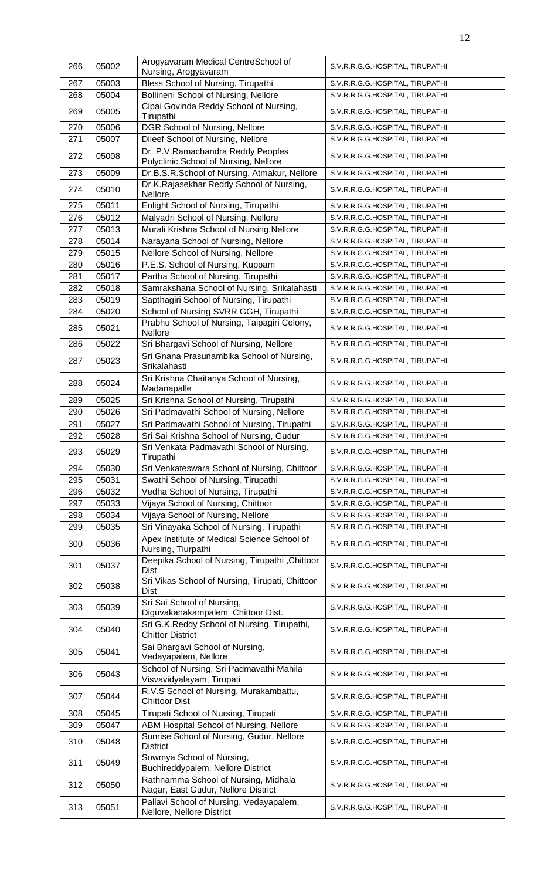| 266 | 05002 | Arogyavaram Medical CentreSchool of<br>Nursing, Arogyavaram                 | S.V.R.R.G.G.HOSPITAL, TIRUPATHI |
|-----|-------|-----------------------------------------------------------------------------|---------------------------------|
| 267 | 05003 | Bless School of Nursing, Tirupathi                                          | S.V.R.R.G.G.HOSPITAL, TIRUPATHI |
| 268 | 05004 | Bollineni School of Nursing, Nellore                                        | S.V.R.R.G.G.HOSPITAL, TIRUPATHI |
| 269 | 05005 | Cipai Govinda Reddy School of Nursing,<br>Tirupathi                         | S.V.R.R.G.G.HOSPITAL, TIRUPATHI |
| 270 | 05006 | DGR School of Nursing, Nellore                                              | S.V.R.R.G.G.HOSPITAL, TIRUPATHI |
| 271 | 05007 | Dileef School of Nursing, Nellore                                           | S.V.R.R.G.G.HOSPITAL, TIRUPATHI |
| 272 | 05008 | Dr. P.V.Ramachandra Reddy Peoples<br>Polyclinic School of Nursing, Nellore  | S.V.R.R.G.G.HOSPITAL, TIRUPATHI |
| 273 | 05009 | Dr.B.S.R.School of Nursing, Atmakur, Nellore                                | S.V.R.R.G.G.HOSPITAL, TIRUPATHI |
| 274 | 05010 | Dr.K.Rajasekhar Reddy School of Nursing,<br>Nellore                         | S.V.R.R.G.G.HOSPITAL, TIRUPATHI |
| 275 | 05011 | Enlight School of Nursing, Tirupathi                                        | S.V.R.R.G.G.HOSPITAL, TIRUPATHI |
| 276 | 05012 | Malyadri School of Nursing, Nellore                                         | S.V.R.R.G.G.HOSPITAL, TIRUPATHI |
| 277 | 05013 | Murali Krishna School of Nursing, Nellore                                   | S.V.R.R.G.G.HOSPITAL, TIRUPATHI |
| 278 | 05014 | Narayana School of Nursing, Nellore                                         | S.V.R.R.G.G.HOSPITAL, TIRUPATHI |
| 279 | 05015 | Nellore School of Nursing, Nellore                                          | S.V.R.R.G.G.HOSPITAL, TIRUPATHI |
| 280 | 05016 | P.E.S. School of Nursing, Kuppam                                            | S.V.R.R.G.G.HOSPITAL, TIRUPATHI |
| 281 | 05017 | Partha School of Nursing, Tirupathi                                         | S.V.R.R.G.G.HOSPITAL, TIRUPATHI |
| 282 | 05018 | Samrakshana School of Nursing, Srikalahasti                                 | S.V.R.R.G.G.HOSPITAL, TIRUPATHI |
| 283 | 05019 | Sapthagiri School of Nursing, Tirupathi                                     | S.V.R.R.G.G.HOSPITAL, TIRUPATHI |
| 284 | 05020 | School of Nursing SVRR GGH, Tirupathi                                       | S.V.R.R.G.G.HOSPITAL, TIRUPATHI |
| 285 | 05021 | Prabhu School of Nursing, Taipagiri Colony,<br>Nellore                      | S.V.R.R.G.G.HOSPITAL, TIRUPATHI |
| 286 | 05022 | Sri Bhargavi School of Nursing, Nellore                                     | S.V.R.R.G.G.HOSPITAL, TIRUPATHI |
| 287 | 05023 | Sri Gnana Prasunambika School of Nursing,<br>Srikalahasti                   | S.V.R.R.G.G.HOSPITAL, TIRUPATHI |
| 288 | 05024 | Sri Krishna Chaitanya School of Nursing,<br>Madanapalle                     | S.V.R.R.G.G.HOSPITAL, TIRUPATHI |
| 289 | 05025 | Sri Krishna School of Nursing, Tirupathi                                    | S.V.R.R.G.G.HOSPITAL, TIRUPATHI |
| 290 | 05026 | Sri Padmavathi School of Nursing, Nellore                                   | S.V.R.R.G.G.HOSPITAL, TIRUPATHI |
| 291 | 05027 | Sri Padmavathi School of Nursing, Tirupathi                                 | S.V.R.R.G.G.HOSPITAL, TIRUPATHI |
| 292 | 05028 | Sri Sai Krishna School of Nursing, Gudur                                    | S.V.R.R.G.G.HOSPITAL, TIRUPATHI |
| 293 | 05029 | Sri Venkata Padmavathi School of Nursing,<br>Tirupathi                      | S.V.R.R.G.G.HOSPITAL, TIRUPATHI |
| 294 | 05030 | Sri Venkateswara School of Nursing, Chittoor                                | S.V.R.R.G.G.HOSPITAL, TIRUPATHI |
| 295 | 05031 | Swathi School of Nursing, Tirupathi                                         | S.V.R.R.G.G.HOSPITAL, TIRUPATHI |
| 296 | 05032 | Vedha School of Nursing, Tirupathi                                          | S.V.R.R.G.G.HOSPITAL, TIRUPATHI |
| 297 | 05033 | Vijaya School of Nursing, Chittoor                                          | S.V.R.R.G.G.HOSPITAL, TIRUPATHI |
| 298 | 05034 | Vijaya School of Nursing, Nellore                                           | S.V.R.R.G.G.HOSPITAL, TIRUPATHI |
| 299 | 05035 | Sri Vinayaka School of Nursing, Tirupathi                                   | S.V.R.R.G.G.HOSPITAL, TIRUPATHI |
| 300 | 05036 | Apex Institute of Medical Science School of<br>Nursing, Tiurpathi           | S.V.R.R.G.G.HOSPITAL, TIRUPATHI |
| 301 | 05037 | Deepika School of Nursing, Tirupathi, Chittoor<br><b>Dist</b>               | S.V.R.R.G.G.HOSPITAL, TIRUPATHI |
| 302 | 05038 | Sri Vikas School of Nursing, Tirupati, Chittoor<br>Dist                     | S.V.R.R.G.G.HOSPITAL, TIRUPATHI |
| 303 | 05039 | Sri Sai School of Nursing,<br>Diguvakanakampalem Chittoor Dist.             | S.V.R.R.G.G.HOSPITAL, TIRUPATHI |
| 304 | 05040 | Sri G.K.Reddy School of Nursing, Tirupathi,<br><b>Chittor District</b>      | S.V.R.R.G.G.HOSPITAL, TIRUPATHI |
| 305 | 05041 | Sai Bhargavi School of Nursing,<br>Vedayapalem, Nellore                     | S.V.R.R.G.G.HOSPITAL, TIRUPATHI |
| 306 | 05043 | School of Nursing, Sri Padmavathi Mahila<br>Visvavidyalayam, Tirupati       | S.V.R.R.G.G.HOSPITAL, TIRUPATHI |
| 307 | 05044 | R.V.S School of Nursing, Murakambattu,<br><b>Chittoor Dist</b>              | S.V.R.R.G.G.HOSPITAL, TIRUPATHI |
| 308 | 05045 | Tirupati School of Nursing, Tirupati                                        | S.V.R.R.G.G.HOSPITAL, TIRUPATHI |
| 309 | 05047 | ABM Hospital School of Nursing, Nellore                                     | S.V.R.R.G.G.HOSPITAL, TIRUPATHI |
| 310 | 05048 | Sunrise School of Nursing, Gudur, Nellore<br><b>District</b>                | S.V.R.R.G.G.HOSPITAL, TIRUPATHI |
| 311 | 05049 | Sowmya School of Nursing,<br>Buchireddypalem, Nellore District              | S.V.R.R.G.G.HOSPITAL, TIRUPATHI |
| 312 | 05050 | Rathnamma School of Nursing, Midhala<br>Nagar, East Gudur, Nellore District | S.V.R.R.G.G.HOSPITAL, TIRUPATHI |
| 313 | 05051 | Pallavi School of Nursing, Vedayapalem,<br>Nellore, Nellore District        | S.V.R.R.G.G.HOSPITAL, TIRUPATHI |